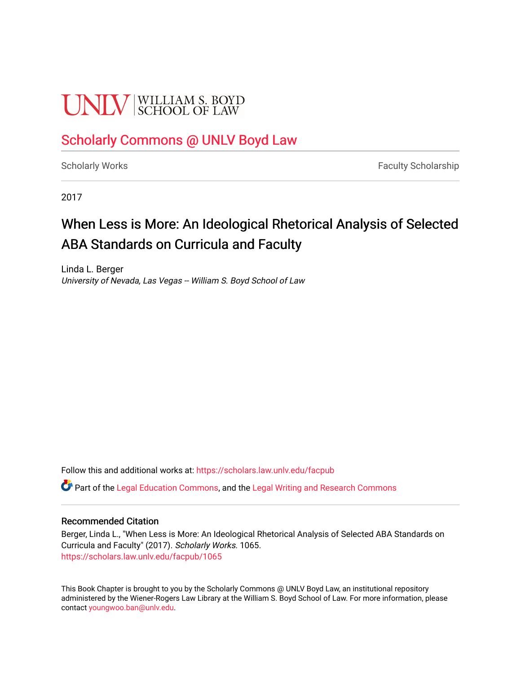# **UNIV** SCHOOL OF LAW

### [Scholarly Commons @ UNLV Boyd Law](https://scholars.law.unlv.edu/)

[Scholarly Works](https://scholars.law.unlv.edu/facpub) **Faculty Scholarship** Faculty Scholarship

2017

## When Less is More: An Ideological Rhetorical Analysis of Selected ABA Standards on Curricula and Faculty

Linda L. Berger University of Nevada, Las Vegas -- William S. Boyd School of Law

Follow this and additional works at: [https://scholars.law.unlv.edu/facpub](https://scholars.law.unlv.edu/facpub?utm_source=scholars.law.unlv.edu%2Ffacpub%2F1065&utm_medium=PDF&utm_campaign=PDFCoverPages)

Part of the [Legal Education Commons,](http://network.bepress.com/hgg/discipline/857?utm_source=scholars.law.unlv.edu%2Ffacpub%2F1065&utm_medium=PDF&utm_campaign=PDFCoverPages) and the [Legal Writing and Research Commons](http://network.bepress.com/hgg/discipline/614?utm_source=scholars.law.unlv.edu%2Ffacpub%2F1065&utm_medium=PDF&utm_campaign=PDFCoverPages)

#### Recommended Citation

Berger, Linda L., "When Less is More: An Ideological Rhetorical Analysis of Selected ABA Standards on Curricula and Faculty" (2017). Scholarly Works. 1065. [https://scholars.law.unlv.edu/facpub/1065](https://scholars.law.unlv.edu/facpub/1065?utm_source=scholars.law.unlv.edu%2Ffacpub%2F1065&utm_medium=PDF&utm_campaign=PDFCoverPages) 

This Book Chapter is brought to you by the Scholarly Commons @ UNLV Boyd Law, an institutional repository administered by the Wiener-Rogers Law Library at the William S. Boyd School of Law. For more information, please contact [youngwoo.ban@unlv.edu](mailto:youngwoo.ban@unlv.edu).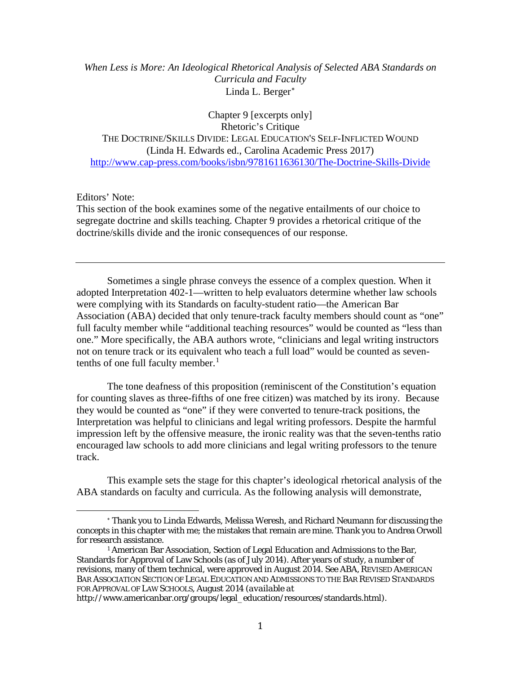#### *When Less is More: An Ideological Rhetorical Analysis of Selected ABA Standards on Curricula and Faculty* Linda L. Berger[∗](#page-1-0)

Chapter 9 [excerpts only] Rhetoric's Critique THE DOCTRINE/SKILLS DIVIDE: LEGAL EDUCATION'S SELF-INFLICTED WOUND (Linda H. Edwards ed., Carolina Academic Press 2017) <http://www.cap-press.com/books/isbn/9781611636130/The-Doctrine-Skills-Divide>

Editors' Note:

This section of the book examines some of the negative entailments of our choice to segregate doctrine and skills teaching. Chapter 9 provides a rhetorical critique of the doctrine/skills divide and the ironic consequences of our response.

Sometimes a single phrase conveys the essence of a complex question. When it adopted Interpretation 402-1—written to help evaluators determine whether law schools were complying with its Standards on faculty-student ratio—the American Bar Association (ABA) decided that only tenure-track faculty members should count as "one" full faculty member while "additional teaching resources" would be counted as "less than one." More specifically, the ABA authors wrote, "clinicians and legal writing instructors not on tenure track or its equivalent who teach a full load" would be counted as seventenths of one full faculty member. $<sup>1</sup>$  $<sup>1</sup>$  $<sup>1</sup>$ </sup>

The tone deafness of this proposition (reminiscent of the Constitution's equation for counting slaves as three-fifths of one free citizen) was matched by its irony. Because they would be counted as "one" if they were converted to tenure-track positions, the Interpretation was helpful to clinicians and legal writing professors. Despite the harmful impression left by the offensive measure, the ironic reality was that the seven-tenths ratio encouraged law schools to add more clinicians and legal writing professors to the tenure track.

This example sets the stage for this chapter's ideological rhetorical analysis of the ABA standards on faculty and curricula. As the following analysis will demonstrate,

<span id="page-1-0"></span><sup>∗</sup> Thank you to Linda Edwards, Melissa Weresh, and Richard Neumann for discussing the concepts in this chapter with me; the mistakes that remain are mine. Thank you to Andrea Orwoll for research assistance.

<span id="page-1-1"></span><sup>1</sup> American Bar Association, Section of Legal Education and Admissions to the Bar, Standards for Approval of Law Schools (as of July 2014). After years of study, a number of revisions, many of them technical, were approved in August 2014. *See* ABA, REVISED AMERICAN BAR ASSOCIATION SECTION OF LEGAL EDUCATION AND ADMISSIONS TO THE BAR REVISED STANDARDS FOR APPROVAL OF LAW SCHOOLS, August 2014 (*available at*

http://www.americanbar.org/groups/legal\_education/resources/standards.html).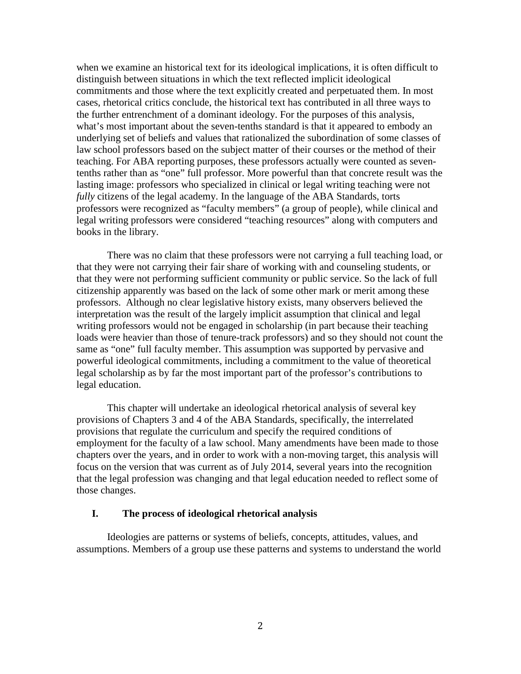when we examine an historical text for its ideological implications, it is often difficult to distinguish between situations in which the text reflected implicit ideological commitments and those where the text explicitly created and perpetuated them. In most cases, rhetorical critics conclude, the historical text has contributed in all three ways to the further entrenchment of a dominant ideology. For the purposes of this analysis, what's most important about the seven-tenths standard is that it appeared to embody an underlying set of beliefs and values that rationalized the subordination of some classes of law school professors based on the subject matter of their courses or the method of their teaching. For ABA reporting purposes, these professors actually were counted as seventenths rather than as "one" full professor. More powerful than that concrete result was the lasting image: professors who specialized in clinical or legal writing teaching were not *fully* citizens of the legal academy. In the language of the ABA Standards, torts professors were recognized as "faculty members" (a group of people), while clinical and legal writing professors were considered "teaching resources" along with computers and books in the library.

There was no claim that these professors were not carrying a full teaching load, or that they were not carrying their fair share of working with and counseling students, or that they were not performing sufficient community or public service. So the lack of full citizenship apparently was based on the lack of some other mark or merit among these professors. Although no clear legislative history exists, many observers believed the interpretation was the result of the largely implicit assumption that clinical and legal writing professors would not be engaged in scholarship (in part because their teaching loads were heavier than those of tenure-track professors) and so they should not count the same as "one" full faculty member. This assumption was supported by pervasive and powerful ideological commitments, including a commitment to the value of theoretical legal scholarship as by far the most important part of the professor's contributions to legal education.

This chapter will undertake an ideological rhetorical analysis of several key provisions of Chapters 3 and 4 of the ABA Standards, specifically, the interrelated provisions that regulate the curriculum and specify the required conditions of employment for the faculty of a law school. Many amendments have been made to those chapters over the years, and in order to work with a non-moving target, this analysis will focus on the version that was current as of July 2014, several years into the recognition that the legal profession was changing and that legal education needed to reflect some of those changes.

#### **I. The process of ideological rhetorical analysis**

Ideologies are patterns or systems of beliefs, concepts, attitudes, values, and assumptions. Members of a group use these patterns and systems to understand the world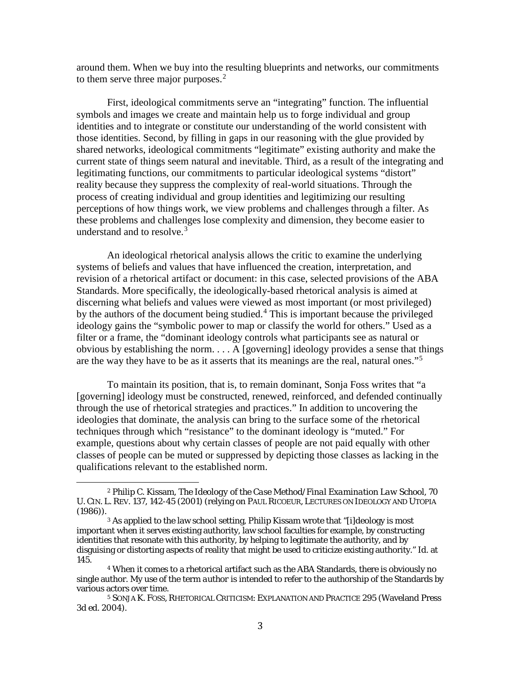around them. When we buy into the resulting blueprints and networks, our commitments to them serve three major purposes. $<sup>2</sup>$  $<sup>2</sup>$  $<sup>2</sup>$ </sup>

First, ideological commitments serve an "integrating" function. The influential symbols and images we create and maintain help us to forge individual and group identities and to integrate or constitute our understanding of the world consistent with those identities. Second, by filling in gaps in our reasoning with the glue provided by shared networks, ideological commitments "legitimate" existing authority and make the current state of things seem natural and inevitable. Third, as a result of the integrating and legitimating functions, our commitments to particular ideological systems "distort" reality because they suppress the complexity of real-world situations. Through the process of creating individual and group identities and legitimizing our resulting perceptions of how things work, we view problems and challenges through a filter. As these problems and challenges lose complexity and dimension, they become easier to understand and to resolve. [3](#page-3-1)

An ideological rhetorical analysis allows the critic to examine the underlying systems of beliefs and values that have influenced the creation, interpretation, and revision of a rhetorical artifact or document: in this case, selected provisions of the ABA Standards. More specifically, the ideologically-based rhetorical analysis is aimed at discerning what beliefs and values were viewed as most important (or most privileged) by the authors of the document being studied.[4](#page-3-2) This is important because the privileged ideology gains the "symbolic power to map or classify the world for others." Used as a filter or a frame, the "dominant ideology controls what participants see as natural or obvious by establishing the norm. . . . A [governing] ideology provides a sense that things are the way they have to be as it asserts that its meanings are the real, natural ones."[5](#page-3-3)

To maintain its position, that is, to remain dominant, Sonja Foss writes that "a [governing] ideology must be constructed, renewed, reinforced, and defended continually through the use of rhetorical strategies and practices." In addition to uncovering the ideologies that dominate, the analysis can bring to the surface some of the rhetorical techniques through which "resistance" to the dominant ideology is "muted." For example, questions about why certain classes of people are not paid equally with other classes of people can be muted or suppressed by depicting those classes as lacking in the qualifications relevant to the established norm.

<span id="page-3-0"></span><sup>2</sup> Philip C. Kissam, *The Ideology of the Case Method/Final Examination Law School*, 70 U. CIN. L. REV. 137, 142-45 (2001) (relying on PAUL RICOEUR, LECTURES ON IDEOLOGY AND UTOPIA (1986)).

<span id="page-3-1"></span><sup>&</sup>lt;sup>3</sup> As applied to the law school setting, Philip Kissam wrote that "[i]deology is most important when it serves existing authority, law school faculties for example, by constructing identities that resonate with this authority, by helping to legitimate the authority, and by disguising or distorting aspects of reality that might be used to criticize existing authority." *Id.* at 145.

<span id="page-3-2"></span><sup>4</sup> When it comes to a rhetorical artifact such as the ABA Standards, there is obviously no single author. My use of the term *author* is intended to refer to the authorship of the Standards by various actors over time.

<span id="page-3-3"></span><sup>5</sup> SONJA K. FOSS, RHETORICAL CRITICISM: EXPLANATION AND PRACTICE 295 (Waveland Press 3d ed. 2004).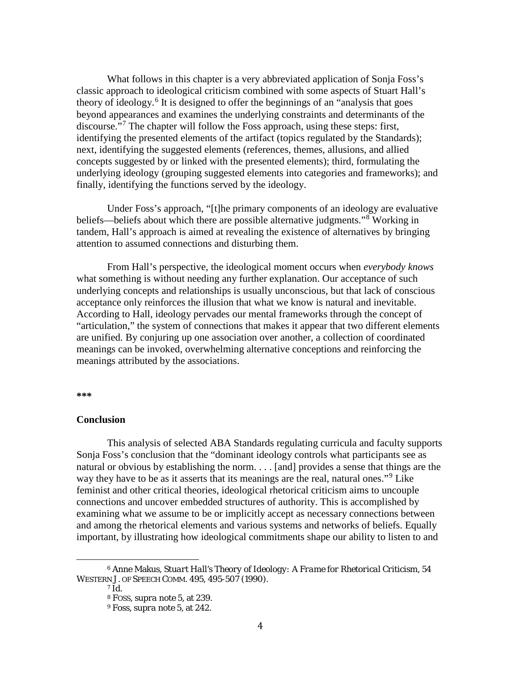What follows in this chapter is a very abbreviated application of Sonja Foss's classic approach to ideological criticism combined with some aspects of Stuart Hall's theory of ideology.<sup>[6](#page-4-0)</sup> It is designed to offer the beginnings of an "analysis that goes beyond appearances and examines the underlying constraints and determinants of the discourse."[7](#page-4-1) The chapter will follow the Foss approach, using these steps: first, identifying the presented elements of the artifact (topics regulated by the Standards); next, identifying the suggested elements (references, themes, allusions, and allied concepts suggested by or linked with the presented elements); third, formulating the underlying ideology (grouping suggested elements into categories and frameworks); and finally, identifying the functions served by the ideology.

Under Foss's approach, "[t]he primary components of an ideology are evaluative beliefs—beliefs about which there are possible alternative judgments."[8](#page-4-2) Working in tandem, Hall's approach is aimed at revealing the existence of alternatives by bringing attention to assumed connections and disturbing them.

From Hall's perspective, the ideological moment occurs when *everybody knows* what something is without needing any further explanation. Our acceptance of such underlying concepts and relationships is usually unconscious, but that lack of conscious acceptance only reinforces the illusion that what we know is natural and inevitable. According to Hall, ideology pervades our mental frameworks through the concept of "articulation," the system of connections that makes it appear that two different elements are unified. By conjuring up one association over another, a collection of coordinated meanings can be invoked, overwhelming alternative conceptions and reinforcing the meanings attributed by the associations.

**\*\*\***

#### **Conclusion**

This analysis of selected ABA Standards regulating curricula and faculty supports Sonja Foss's conclusion that the "dominant ideology controls what participants see as natural or obvious by establishing the norm. . . . [and] provides a sense that things are the way they have to be as it asserts that its meanings are the real, natural ones."<sup>[9](#page-4-3)</sup> Like feminist and other critical theories, ideological rhetorical criticism aims to uncouple connections and uncover embedded structures of authority. This is accomplished by examining what we assume to be or implicitly accept as necessary connections between and among the rhetorical elements and various systems and networks of beliefs. Equally important, by illustrating how ideological commitments shape our ability to listen to and

<span id="page-4-3"></span><span id="page-4-2"></span><span id="page-4-1"></span><span id="page-4-0"></span><sup>6</sup> Anne Makus, *Stuart Hall's Theory of Ideology: A Frame for Rhetorical Criticism*, 54 WESTERN J. OF SPEECH COMM. 495, 495-507 (1990).

<sup>7</sup> *Id.*

<sup>8</sup> FOSS, *supra* note 5, at 239.

<sup>9</sup> Foss, *supra* note 5, at 242.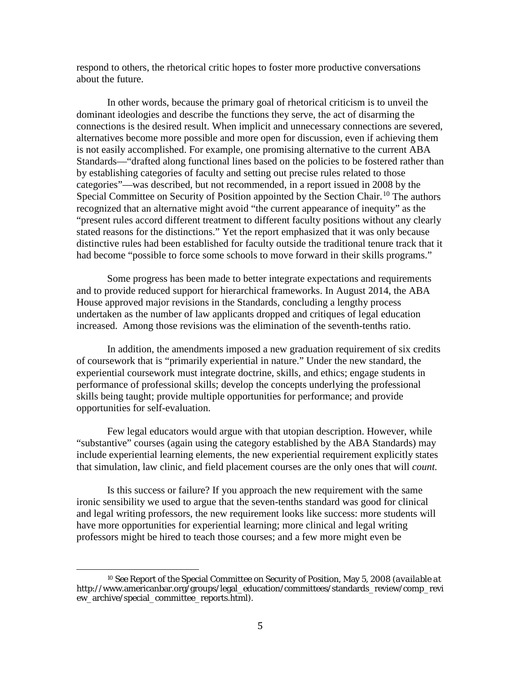respond to others, the rhetorical critic hopes to foster more productive conversations about the future.

In other words, because the primary goal of rhetorical criticism is to unveil the dominant ideologies and describe the functions they serve, the act of disarming the connections is the desired result. When implicit and unnecessary connections are severed, alternatives become more possible and more open for discussion, even if achieving them is not easily accomplished. For example, one promising alternative to the current ABA Standards—"drafted along functional lines based on the policies to be fostered rather than by establishing categories of faculty and setting out precise rules related to those categories"—was described, but not recommended, in a report issued in 2008 by the Special Committee on Security of Position appointed by the Section Chair.<sup>[10](#page-5-0)</sup> The authors recognized that an alternative might avoid "the current appearance of inequity" as the "present rules accord different treatment to different faculty positions without any clearly stated reasons for the distinctions." Yet the report emphasized that it was only because distinctive rules had been established for faculty outside the traditional tenure track that it had become "possible to force some schools to move forward in their skills programs."

Some progress has been made to better integrate expectations and requirements and to provide reduced support for hierarchical frameworks. In August 2014, the ABA House approved major revisions in the Standards, concluding a lengthy process undertaken as the number of law applicants dropped and critiques of legal education increased. Among those revisions was the elimination of the seventh-tenths ratio.

In addition, the amendments imposed a new graduation requirement of six credits of coursework that is "primarily experiential in nature." Under the new standard, the experiential coursework must integrate doctrine, skills, and ethics; engage students in performance of professional skills; develop the concepts underlying the professional skills being taught; provide multiple opportunities for performance; and provide opportunities for self-evaluation.

Few legal educators would argue with that utopian description. However, while "substantive" courses (again using the category established by the ABA Standards) may include experiential learning elements, the new experiential requirement explicitly states that simulation, law clinic, and field placement courses are the only ones that will *count.*

Is this success or failure? If you approach the new requirement with the same ironic sensibility we used to argue that the seven-tenths standard was good for clinical and legal writing professors, the new requirement looks like success: more students will have more opportunities for experiential learning; more clinical and legal writing professors might be hired to teach those courses; and a few more might even be

<span id="page-5-0"></span><sup>10</sup> *See* Report of the Special Committee on Security of Position, May 5, 2008 (*available at* http://www.americanbar.org/groups/legal\_education/committees/standards\_review/comp\_revi ew\_archive/special\_committee\_reports.html).